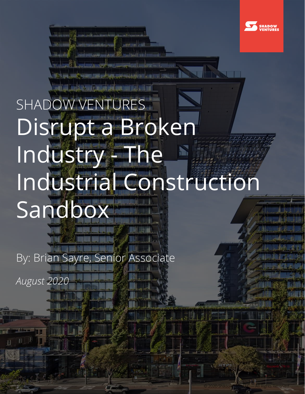

© 2020 Shadow Labs LLC — All Rights Reserved

1

## SHADOW VENTURES Disrupt a Broken Industry - The Industrial Construction Sandbox<sup>-</sup>

By: Brian Sayre, Senior Associate

*August 2020*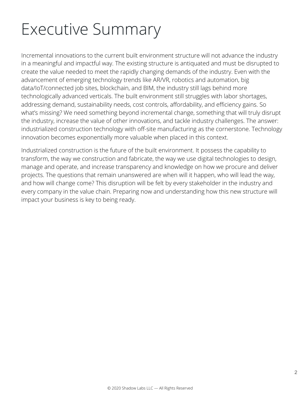### Executive Summary

Incremental innovations to the current built environment structure will not advance the industry in a meaningful and impactful way. The existing structure is antiquated and must be disrupted to create the value needed to meet the rapidly changing demands of the industry. Even with the advancement of emerging technology trends like AR/VR, robotics and automation, big data/IoT/connected job sites, blockchain, and BIM, the industry still lags behind more technologically advanced verticals. The built environment still struggles with labor shortages, addressing demand, sustainability needs, cost controls, affordability, and efficiency gains. So what's missing? We need something beyond incremental change, something that will truly disrupt the industry, increase the value of other innovations, and tackle industry challenges. The answer: industrialized construction technology with off-site manufacturing as the cornerstone. Technology innovation becomes exponentially more valuable when placed in this context.

Industrialized construction is the future of the built environment. It possess the capability to transform, the way we construction and fabricate, the way we use digital technologies to design, manage and operate, and increase transparency and knowledge on how we procure and deliver projects. The questions that remain unanswered are when will it happen, who will lead the way, and how will change come? This disruption will be felt by every stakeholder in the industry and every company in the value chain. Preparing now and understanding how this new structure will impact your business is key to being ready.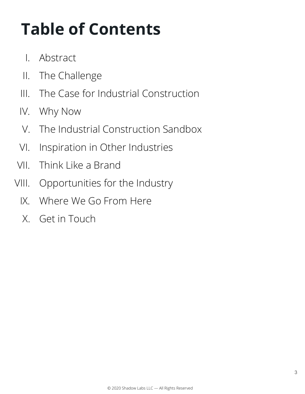### **Table of Contents**

- I. Abstract
- II. The Challenge
- III. The Case for Industrial Construction
- IV. Why Now
- V. The Industrial Construction Sandbox
- VI. Inspiration in Other Industries
- VII. Think Like a Brand
- VIII. Opportunities for the Industry
	- IX. Where We Go From Here
	- X. Get in Touch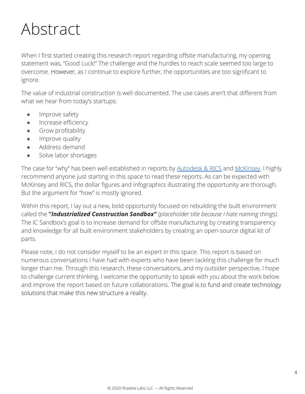### Abstract

When I first started creating this research report regarding offsite manufacturing, my opening statement was, "Good Luck!" The challenge and the hurdles to reach scale seemed too large to overcome. However, as I continue to explore further, the opportunities are too significant to ignore.

The value of industrial construction is well documented. The use cases aren't that different from what we hear from today's startups:

- **•** Improve safety
- **•** Increase efficiency
- **•** Grow profitability
- **•** Improve quality
- Address demand
- Solve labor shortages

The case for "why" has been well established in reports by **[Autodesk & RICS](https://www.rics.org/globalassets/rics-website/media/knowledge/20200522_autodesk_whitepaperconstruction_final.pdf)** and [McKinsey](https://www.mckinsey.com/~/media/McKinsey/Industries/Capital%20Projects%20and%20Infrastructure/Our%20Insights/Modular%20construction%20from%20projects%20to%20products%20NEW/Modular-construction-from-projects-to-products-full-report-NEW.ashx). I highly recommend anyone just starting in this space to read these reports. As can be expected with McKinsey and RICS, the dollar figures and infographics illustrating the opportunity are thorough. But the argument for "how" is mostly ignored.

Within this report, I lay out a new, bold opportunity focused on rebuilding the built environment called the **"***Industrialized Construction Sandbox" (placeholder title because I hate naming things)*. The IC Sandbox's goal is to increase demand for offsite manufacturing by creating transparency and knowledge for all built environment stakeholders by creating an open-source digital kit of parts.

Please note, I do not consider myself to be an expert in this space. This report is based on numerous conversations I have had with experts who have been tackling this challenge for much longer than me. Through this research, these conversations, and my outsider perspective, I hope to challenge current thinking. I welcome the opportunity to speak with you about the work below and improve the report based on future collaborations. The goal is to fund and create technology solutions that make this new structure a reality.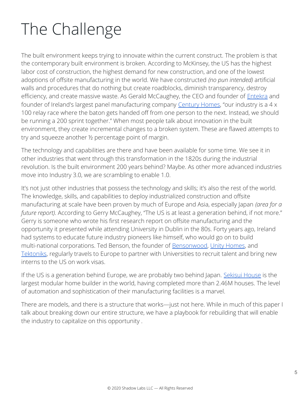### The Challenge

The built environment keeps trying to innovate within the current construct. The problem is that the contemporary built environment is broken. According to McKinsey, the US has the highest labor cost of construction, the highest demand for new construction, and one of the lowest adoptions of offsite manufacturing in the world. We have constructed *(no pun intended)* artificial walls and procedures that do nothing but create roadblocks, diminish transparency, destroy efficiency, and create massive waste. As Gerald McCaughey, the CEO and founder of *[Entekra](https://www.entekra.com/)* and founder of Ireland's largest panel manufacturing company [Century Homes,](https://www.kingspan.com/irl/en-ie/about-kingspan/kingspan-century) "our industry is a 4 x 100 relay race where the baton gets handed off from one person to the next. Instead, we should be running a 200 sprint together." When most people talk about innovation in the built environment, they create incremental changes to a broken system. These are flawed attempts to try and squeeze another ½ percentage point of margin.

The technology and capabilities are there and have been available for some time. We see it in other industries that went through this transformation in the 1820s during the industrial revolution. Is the built environment 200 years behind? Maybe. As other more advanced industries move into Industry 3.0, we are scrambling to enable 1.0.

It's not just other industries that possess the technology and skills; it's also the rest of the world. The knowledge, skills, and capabilities to deploy industrialized construction and offsite manufacturing at scale have been proven by much of Europe and Asia, especially Japan *(area for a future report)*. According to Gerry McCaughey, "The US is at least a generation behind, if not more." Gerry is someone who wrote his first research report on offsite manufacturing and the opportunity it presented while attending University in Dublin in the 80s. Forty years ago, Ireland had systems to educate future industry pioneers like himself, who would go on to build multi-national corporations. Ted Benson, the founder of **Bensonwood**, [Unity Homes,](https://unityhomes.com/) and [Tektoniks,](https://tektoniks.com/) regularly travels to Europe to partner with Universities to recruit talent and bring new interns to the US on work visas.

If the US is a generation behind Europe, we are probably two behind Japan. [Sekisui House](https://www.sekisuihouse-global.com/) is the largest modular home builder in the world, having completed more than 2.46M houses. The level of automation and sophistication of their manufacturing facilities is a marvel.

There are models, and there is a structure that works—just not here. While in much of this paper I talk about breaking down our entire structure, we have a playbook for rebuilding that will enable the industry to capitalize on this opportunity .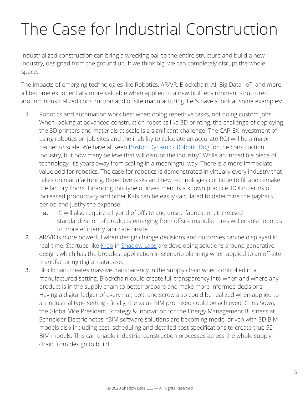### The Case for Industrial Construction

Industrialized construction can bring a wrecking ball to the entire structure and build a new industry, designed from the ground up. If we think big, we can completely disrupt the whole space.

The impacts of emerging technologies like Robotics, AR/VR, Blockchain, AI, Big Data, IoT, and more all become exponentially more valuable when applied to a new built environment structured around industrialized construction and offsite manufacturing. Let's have a look at some examples:

- 1. Robotics and automation work best when doing repetitive tasks, not doing custom jobs. When looking at advanced construction robotics like 3D printing, the challenge of deploying the 3D printers and materials at scale is a significant challenge. The CAP-EX investment of using robotics on job sites and the inability to calculate an accurate ROI will be a major barrier to scale. We have all seen **Boston Dynamics Robotic Dog** for the construction industry, but how many believe that will disrupt the industry? While an incredible piece of technology, it's years away from scaling in a meaningful way. There is a more immediate value add for robotics. The case for robotics is demonstrated in virtually every industry that relies on manufacturing. Repetitive tasks and new technologies continue to fill and remake the factory floors. Financing this type of investment is a known practice. ROI in terms of increased productivity and other KPIs can be easily calculated to determine the payback period and justify the expense.
	- a. IC will also require a hybrid of offsite and onsite fabrication. Increased standardization of products emerging from offsite manufactures will enable robotics to more efficiency fabricate onsite.
- 2. AR/VR is more powerful when design change decisions and outcomes can be displayed in real-time. Startups like [Kreo](https://modular.kreo.net/product) in [Shadow Labs](https://shadow.vc/startups/) are developing solutions around generative design, which has the broadest application in scenario planning when applied to an off-site manufacturing digital database.
- 3. Blockchain creates massive transparency in the supply chain when controlled in a manufactured setting. Blockchain could create full transparency into when and where any product is in the supply chain to better prepare and make more informed decisions. Having a digital ledger of every nut, bolt, and screw also could be realized when applied to an industrial type setting - finally, the value BIM promised could be achieved. Chris Sowa, the Global Vice President, Strategy & Innovation for the Energy Management Business at Schneider Electric notes, "BIM software solutions are becoming model driven with 3D BIM models also including cost, scheduling and detailed cost specifications to create true 5D BIM models. This can enable industrial construction processes across the whole supply chain from design to build."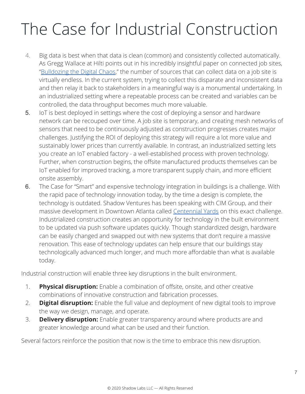### The Case for Industrial Construction

- 4. Big data is best when that data is clean (common) and consistently collected automatically. As Gregg Wallace at Hilti points out in his incredibly insightful paper on connected job sites, ["Bulldozing the Digital Chaos,](https://medium.com/foundamental/bulldozing-the-digital-chaos-how-the-vast-data-generated-from-construction-machinery-and-455d6db2d146)" the number of sources that can collect data on a job site is virtually endless. In the current system, trying to collect this disparate and inconsistent data and then relay it back to stakeholders in a meaningful way is a monumental undertaking. In an industrialized setting where a repeatable process can be created and variables can be controlled, the data throughput becomes much more valuable.
- 5. IoT is best deployed in settings where the cost of deploying a sensor and hardware network can be recouped over time. A job site is temporary, and creating mesh networks of sensors that need to be continuously adjusted as construction progresses creates major challenges. Justifying the ROI of deploying this strategy will require a lot more value and sustainably lower prices than currently available. In contrast, an industrialized setting lets you create an IoT enabled factory - a well-established process with proven technology. Further, when construction begins, the offsite manufactured products themselves can be IoT enabled for improved tracking, a more transparent supply chain, and more efficient onsite assembly.
- 6. The Case for "Smart" and expensive technology integration in buildings is a challenge. With the rapid pace of technology innovation today, by the time a design is complete, the technology is outdated. Shadow Ventures has been speaking with CIM Group, and their massive development in Downtown Atlanta called [Centennial Yards](https://www.centennialyards.com/) on this exact challenge. Industrialized construction creates an opportunity for technology in the built environment to be updated via push software updates quickly. Though standardized design, hardware can be easily changed and swapped out with new systems that don't require a massive renovation. This ease of technology updates can help ensure that our buildings stay technologically advanced much longer, and much more affordable than what is available today.

Industrial construction will enable three key disruptions in the built environment.

- 1. **Physical disruption:** Enable a combination of offsite, onsite, and other creative combinations of innovative construction and fabrication processes.
- 2. **Digital disruption:** Enable the full value and deployment of new digital tools to improve the way we design, manage, and operate.
- 3. **Delivery disruption:** Enable greater transparency around where products are and greater knowledge around what can be used and their function.

Several factors reinforce the position that now is the time to embrace this new disruption.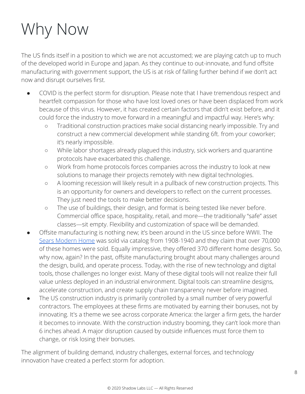### Why Now

The US finds itself in a position to which we are not accustomed; we are playing catch up to much of the developed world in Europe and Japan. As they continue to out-innovate, and fund offsite manufacturing with government support, the US is at risk of falling further behind if we don't act now and disrupt ourselves first.

- COVID is the perfect storm for disruption. Please note that I have tremendous respect and heartfelt compassion for those who have lost loved ones or have been displaced from work because of this virus. However, it has created certain factors that didn't exist before, and it could force the industry to move forward in a meaningful and impactful way. Here's why:
	- Traditional construction practices make social distancing nearly impossible. Try and construct a new commercial development while standing 6ft. from your coworker; it's nearly impossible.
	- While labor shortages already plagued this industry, sick workers and quarantine protocols have exacerbated this challenge.
	- Work from home protocols forces companies across the industry to look at new solutions to manage their projects remotely with new digital technologies.
	- A looming recession will likely result in a pullback of new construction projects. This is an opportunity for owners and developers to reflect on the current processes. They just need the tools to make better decisions.
	- The use of buildings, their design, and format is being tested like never before. Commercial office space, hospitality, retail, and more—the traditionally "safe" asset classes—sit empty. Flexibility and customization of space will be demanded.
- Offsite manufacturing is nothing new; it's been around in the US since before WWII. The [Sears Modern Home](https://en.wikipedia.org/wiki/Sears_Modern_Homes) was sold via catalog from 1908-1940 and they claim that over 70,000 of these homes were sold. Equally impressive, they offered 370 different home designs. So, why now, again? In the past, offsite manufacturing brought about many challenges around the design, build, and operate process. Today, with the rise of new technology and digital tools, those challenges no longer exist. Many of these digital tools will not realize their full value unless deployed in an industrial environment. Digital tools can streamline designs, accelerate construction, and create supply chain transparency never before imagined.
- The US construction industry is primarily controlled by a small number of very powerful contractors. The employees at these firms are motivated by earning their bonuses, not by innovating. It's a theme we see across corporate America: the larger a firm gets, the harder it becomes to innovate. With the construction industry booming, they can't look more than 6 inches ahead. A major disruption caused by outside influences must force them to change, or risk losing their bonuses.

The alignment of building demand, industry challenges, external forces, and technology innovation have created a perfect storm for adoption.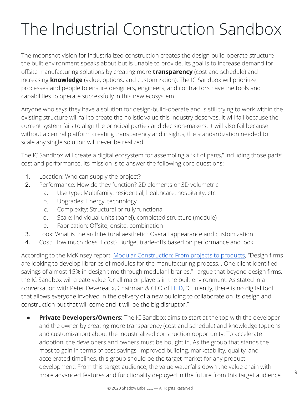The moonshot vision for industrialized construction creates the design-build-operate structure the built environment speaks about but is unable to provide. Its goal is to increase demand for offsite manufacturing solutions by creating more **transparency** (cost and schedule) and increasing **knowledge** (value, options, and customization). The IC Sandbox will prioritize processes and people to ensure designers, engineers, and contractors have the tools and capabilities to operate successfully in this new ecosystem.

Anyone who says they have a solution for design-build-operate and is still trying to work within the existing structure will fail to create the holistic value this industry deserves. It will fail because the current system fails to align the principal parties and decision-makers. It will also fail because without a central platform creating transparency and insights, the standardization needed to scale any single solution will never be realized.

The IC Sandbox will create a digital ecosystem for assembling a "kit of parts," including those parts' cost and performance. Its mission is to answer the following core questions:

- 1. Location: Who can supply the project?
- 2. Performance: How do they function? 2D elements or 3D volumetric
	- a. Use type: Multifamily, residential, healthcare, hospitality, etc
	- b. Upgrades: Energy, technology
	- c. Complexity: Structural or fully functional
	- d. Scale: Individual units (panel), completed structure (module)
	- e. Fabrication: Offsite, onsite, combination
- 3. Look: What is the architectural aesthetic? Overall appearance and customization
- 4. Cost: How much does it cost? Budget trade-offs based on performance and look.

According to the McKinsey report, [Modular Construction: From projects to products](https://www.mckinsey.com/~/media/McKinsey/Industries/Capital%20Projects%20and%20Infrastructure/Our%20Insights/Modular%20construction%20from%20projects%20to%20products%20NEW/Modular-construction-from-projects-to-products-full-report-NEW.ashx), "Design firms are looking to develop libraries of modules for the manufacturing process... One client identified savings of almost 15% in design time through modular libraries." I argue that beyond design firms, the IC Sandbox will create value for all major players in the built environment. As stated in a conversation with Peter Devereaux, Chairman & CEO of [HED](https://www.hed.design/), "Currently, there is no digital tool that allows everyone involved in the delivery of a new building to collaborate on its design and construction but that will come and it will be the big disruptor."

**Private Developers/Owners:** The IC Sandbox aims to start at the top with the developer and the owner by creating more transparency (cost and schedule) and knowledge (options and customization) about the industrialized construction opportunity. To accelerate adoption, the developers and owners must be bought in. As the group that stands the most to gain in terms of cost savings, improved building, marketability, quality, and accelerated timelines, this group should be the target market for any product development. From this target audience, the value waterfalls down the value chain with more advanced features and functionality deployed in the future from this target audience.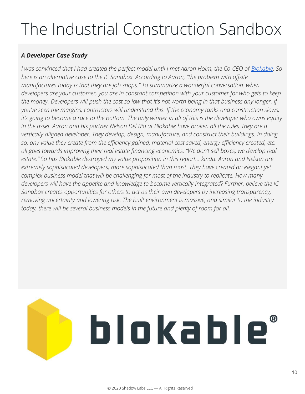#### *A Developer Case Study*

*I* was convinced that I had created the perfect model until I met Aaron Holm, the Co-CEO of *[Blokable](https://blokable.com/)*. So *here is an alternative case to the IC Sandbox. According to Aaron, "the problem with offsite manufactures today is that they are job shops." To summarize a wonderful conversation: when developers are your customer, you are in constant competition with your customer for who gets to keep the money. Developers will push the cost so low that it's not worth being in that business any longer. If you've seen the margins, contractors will understand this. If the economy tanks and construction slows, it's going to become a race to the bottom. The only winner in all of this is the developer who owns equity in the asset. Aaron and his partner Nelson Del Rio at Blokable have broken all the rules: they are a vertically aligned developer. They develop, design, manufacture, and construct their buildings. In doing so, any value they create from the efficiency gained, material cost saved, energy efficiency created, etc. all goes towards improving their real estate financing economics. "We don't sell boxes; we develop real estate." So has Blokable destroyed my value proposition in this report… kinda. Aaron and Nelson are extremely sophisticated developers; more sophisticated than most. They have created an elegant yet complex business model that will be challenging for most of the industry to replicate. How many developers will have the appetite and knowledge to become vertically integrated? Further, believe the IC Sandbox creates opportunities for others to act as their own developers by increasing transparency, removing uncertainty and lowering risk. The built environment is massive, and similar to the industry today, there will be several business models in the future and plenty of room for all.* 

# blokable®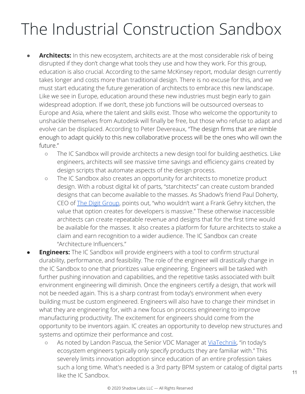- **Architects:** In this new ecosystem, architects are at the most considerable risk of being disrupted if they don't change what tools they use and how they work. For this group, education is also crucial. According to the same McKinsey report, modular design currently takes longer and costs more than traditional design. There is no excuse for this, and we must start educating the future generation of architects to embrace this new landscape. Like we see in Europe, education around these new industries must begin early to gain widespread adoption. If we don't, these job functions will be outsourced overseas to Europe and Asia, where the talent and skills exist. Those who welcome the opportunity to unshackle themselves from Autodesk will finally be free, but those who refuse to adapt and evolve can be displaced. According to Peter Devereaux, "The design firms that are nimble enough to adapt quickly to this new collaborative process will be the ones who will own the future."
	- The IC Sandbox will provide architects a new design tool for building aesthetics. Like engineers, architects will see massive time savings and efficiency gains created by design scripts that automate aspects of the design process.
	- The IC Sandbox also creates an opportunity for architects to monetize product design. With a robust digital kit of parts, "starchitects" can create custom branded designs that can become available to the masses. As Shadow's friend Paul Doherty, CEO of [The Digit Group,](https://www.thedigitgroupinc.com/) points out, "who wouldn't want a Frank Gehry kitchen, the value that option creates for developers is massive." These otherwise inaccessible architects can create repeatable revenue and designs that for the first time would be available for the masses. It also creates a platform for future architects to stake a claim and earn recognition to a wider audience. The IC Sandbox can create "Architecture Influencers."
- **Engineers:** The IC Sandbox will provide engineers with a tool to confirm structural durability, performance, and feasibility. The role of the engineer will drastically change in the IC Sandbox to one that prioritizes value engineering. Engineers will be tasked with further pushing innovation and capabilities, and the repetitive tasks associated with built environment engineering will diminish. Once the engineers certify a design, that work will not be needed again. This is a sharp contrast from today's environment when every building must be custom engineered. Engineers will also have to change their mindset in what they are engineering for, with a new focus on process engineering to improve manufacturing productivity. The excitement for engineers should come from the opportunity to be inventors again. IC creates an opportunity to develop new structures and systems and optimize their performance and cost.
	- o As noted by Landon Pascua, the Senior VDC Manager at [ViaTechnik](https://www.viatechnik.com/), "in today's ecosystem engineers typically only specify products they are familiar with." This severely limits innovation adoption since education of an entire profession takes such a long time. What's needed is a 3rd party BPM system or catalog of digital parts like the IC Sandbox.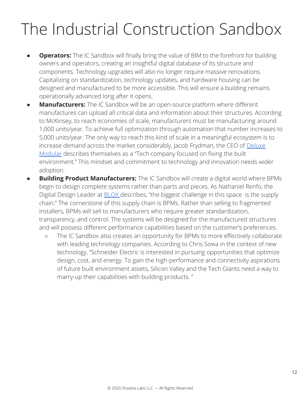- **Operators:** The IC Sandbox will finally bring the value of BIM to the forefront for building owners and operators, creating an insightful digital database of its structure and components. Technology upgrades will also no longer require massive renovations. Capitalizing on standardization, technology updates, and hardware housing can be designed and manufactured to be more accessible. This will ensure a building remains operationally advanced long after it opens.
- **Manufacturers:** The IC Sandbox will be an open-source platform where different manufactures can upload all critical data and information about their structures. According to McKinsey, to reach economies of scale, manufacturers must be manufacturing around 1,000 units/year. To achieve full optimization through automation that number increases to 5,000 units/year. The only way to reach this kind of scale in a meaningful ecosystem is to increase demand across the market considerably. Jacob Frydman, the CEO of [Deluxe](https://www.deluxemodular.com/) [Modular](https://www.deluxemodular.com/) describes themselves as a "Tech company focused on fixing the built environment." This mindset and commitment to technology and innovation needs wider adoption.
- **Building Product Manufacturers:** The IC Sandbox will create a digital world where BPMs begin to design complete systems rather than parts and pieces. As Nathaniel Renfo, the Digital Design Leader at [BLOX](http://www.bloxbuilt.com/) describes, "the biggest challenge in this space is the supply chain." The cornerstone of this supply chain is BPMs. Rather than selling to fragmented installers, BPMs will sell to manufacturers who require greater standardization, transparency, and control. The systems will be designed for the manufactured structures and will possess different performance capabilities based on the customer's preferences.
	- The IC Sandbox also creates an opportunity for BPMs to more effectively collaborate with leading technology companies. According to Chris Sowa in the context of new technology, "Schneider Electric is interested in pursuing opportunities that optimize design, cost, and energy. To gain the high-performance and connectivity aspirations of future built environment assets, Silicon Valley and the Tech Giants need a way to marry-up their capabilities with building products. "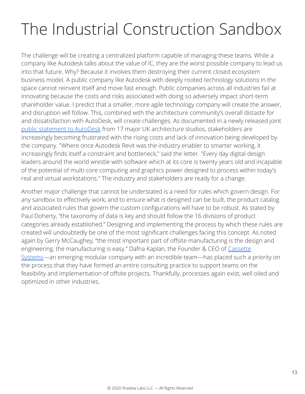The challenge will be creating a centralized platform capable of managing these teams. While a company like Autodesk talks about the value of IC, they are the worst possible company to lead us into that future. Why? Because it involves them destroying their current closed ecosystem business model. A public company like Autodesk with deeply rooted technology solutions in the space cannot reinvent itself and move fast enough. Public companies across all industries fail at innovating because the costs and risks associated with doing so adversely impact short-term shareholder value. I predict that a smaller, more agile technology company will create the answer, and disruption will follow. This, combined with the architecture community's overall distaste for and dissatisfaction with AutoDesk, will create challenges. As documented in a newly released joint [public statement to AutoDesk](https://www-dezeen-com.cdn.ampproject.org/c/s/www.dezeen.com/2020/07/28/autodesk-revit-bim-software-criticism/amp/) from 17 major UK architecture studios, stakeholders are increasingly becoming frustrated with the rising costs and lack of innovation being developed by the company. "Where once Autodesk Revit was the industry enabler to smarter working, it increasingly finds itself a constraint and bottleneck," said the letter. "Every day digital design leaders around the world wrestle with software which at its core is twenty years old and incapable of the potential of multi-core computing and graphics power designed to process within today's real and virtual workstations." The industry and stakeholders are ready for a change.

Another major challenge that cannot be understated is a need for rules which govern design. For any sandbox to effectively work, and to ensure what is designed can be built, the product catalog and associated rules that govern the custom configurations will have to be robust. As stated by Paul Doherty, "the taxonomy of data is key and should follow the 16 divisions of product categories already established." Designing and implementing the process by which these rules are created will undoubtedly be one of the most significant challenges facing this concept. As noted again by Gerry McCaughey, "the most important part of offsite manufacturing is the design and engineering, the manufacturing is easy." Dafna Kaplan, the Founder & CEO of [Cassette](https://www.cassettesystems.com/) [Systems](https://www.cassettesystems.com/)—an emerging modular company with an incredible team—has placed such a priority on the process that they have formed an entire consulting practice to support teams on the feasibility and implementation of offsite projects. Thankfully, processes again exist, well oiled and optimized in other industries.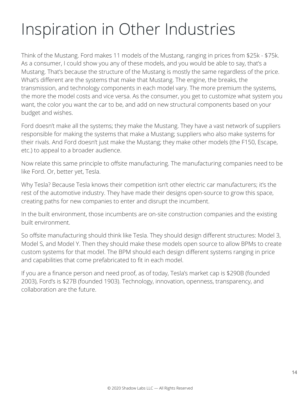### Inspiration in Other Industries

Think of the Mustang. Ford makes 11 models of the Mustang, ranging in prices from \$25k - \$75k. As a consumer, I could show you any of these models, and you would be able to say, that's a Mustang. That's because the structure of the Mustang is mostly the same regardless of the price. What's different are the systems that make that Mustang. The engine, the breaks, the transmission, and technology components in each model vary. The more premium the systems, the more the model costs and vice versa. As the consumer, you get to customize what system you want, the color you want the car to be, and add on new structural components based on your budget and wishes.

Ford doesn't make all the systems; they make the Mustang. They have a vast network of suppliers responsible for making the systems that make a Mustang; suppliers who also make systems for their rivals. And Ford doesn't just make the Mustang; they make other models (the F150, Escape, etc.) to appeal to a broader audience.

Now relate this same principle to offsite manufacturing. The manufacturing companies need to be like Ford. Or, better yet, Tesla.

Why Tesla? Because Tesla knows their competition isn't other electric car manufacturers; it's the rest of the automotive industry. They have made their designs open-source to grow this space, creating paths for new companies to enter and disrupt the incumbent.

In the built environment, those incumbents are on-site construction companies and the existing built environment.

So offsite manufacturing should think like Tesla. They should design different structures: Model 3, Model S, and Model Y. Then they should make these models open source to allow BPMs to create custom systems for that model. The BPM should each design different systems ranging in price and capabilities that come prefabricated to fit in each model.

If you are a finance person and need proof, as of today, Tesla's market cap is \$290B (founded 2003), Ford's is \$27B (founded 1903). Technology, innovation, openness, transparency, and collaboration are the future.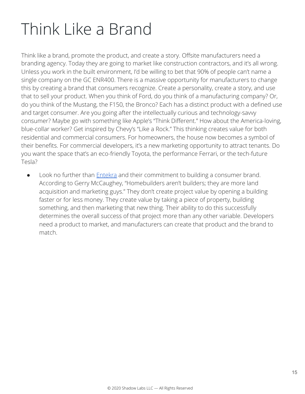### Think Like a Brand

Think like a brand, promote the product, and create a story. Offsite manufacturers need a branding agency. Today they are going to market like construction contractors, and it's all wrong. Unless you work in the built environment, I'd be willing to bet that 90% of people can't name a single company on the GC ENR400. There is a massive opportunity for manufacturers to change this by creating a brand that consumers recognize. Create a personality, create a story, and use that to sell your product. When you think of Ford, do you think of a manufacturing company? Or, do you think of the Mustang, the F150, the Bronco? Each has a distinct product with a defined use and target consumer. Are you going after the intellectually curious and technology-savvy consumer? Maybe go with something like Apple's "Think Different." How about the America-loving, blue-collar worker? Get inspired by Chevy's "Like a Rock." This thinking creates value for both residential and commercial consumers. For homeowners, the house now becomes a symbol of their benefits. For commercial developers, it's a new marketing opportunity to attract tenants. Do you want the space that's an eco-friendly Toyota, the performance Ferrari, or the tech-future Tesla?

● Look no further than [Entekra](https://www.entekra.com/) and their commitment to building a consumer brand. According to Gerry McCaughey, "Homebuilders aren't builders; they are more land acquisition and marketing guys." They don't create project value by opening a building faster or for less money. They create value by taking a piece of property, building something, and then marketing that new thing. Their ability to do this successfully determines the overall success of that project more than any other variable. Developers need a product to market, and manufacturers can create that product and the brand to match.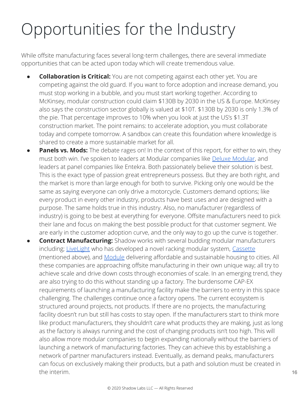### Opportunities for the Industry

While offsite manufacturing faces several long-term challenges, there are several immediate opportunities that can be acted upon today which will create tremendous value.

- **Collaboration is Critical:** You are not competing against each other yet. You are competing against the old guard. If you want to force adoption and increase demand, you must stop working in a bubble, and you must start working together. According to McKinsey, modular construction could claim \$130B by 2030 in the US & Europe. McKinsey also says the construction sector globally is valued at \$10T. \$130B by 2030 is only 1.3% of the pie. That percentage improves to 10% when you look at just the US's \$1.3T construction market. The point remains: to accelerate adoption, you must collaborate today and compete tomorrow. A sandbox can create this foundation where knowledge is shared to create a more sustainable market for all.
- **Panels vs. Mods:** The debate rages on! In the context of this report, for either to win, they must both win. I've spoken to leaders at Modular companies like [Deluxe Modular,](https://www.deluxemodular.com/) and leaders at panel companies like Entekra. Both passionately believe their solution is best. This is the exact type of passion great entrepreneurs possess. But they are both right, and the market is more than large enough for both to survive. Picking only one would be the same as saying everyone can only drive a motorcycle. Customers demand options; like every product in every other industry, products have best uses and are designed with a purpose. The same holds true in this industry. Also, no manufacturer (regardless of industry) is going to be best at everything for everyone. Offsite manufacturers need to pick their lane and focus on making the best possible product for that customer segment. We are early in the customer adoption curve, and the only way to go up the curve is together.
- **Contract Manufacturing:** Shadow works with several budding modular manufacturers including; [LiveLight](https://www.livelightbuildings.com/) who has developed a novel racking modular system, [Cassette](https://www.cassettesystems.com/) (mentioned above), and [Module](https://www.modulehousing.com/) delivering affordable and sustainable housing to cities. All these companies are approaching offsite manufacturing in their own unique way; all try to achieve scale and drive down costs through economies of scale. In an emerging trend, they are also trying to do this without standing up a factory. The burdensome CAP-EX requirements of launching a manufacturing facility make the barriers to entry in this space challenging. The challenges continue once a factory opens. The current ecosystem is structured around projects, not products. If there are no projects, the manufacturing facility doesn't run but still has costs to stay open. If the manufacturers start to think more like product manufacturers, they shouldn't care what products they are making, just as long as the factory is always running and the cost of changing products isn't too high. This will also allow more modular companies to begin expanding nationally without the barriers of launching a network of manufacturing factories. They can achieve this by establishing a network of partner manufacturers instead. Eventually, as demand peaks, manufacturers can focus on exclusively making their products, but a path and solution must be created in the interim.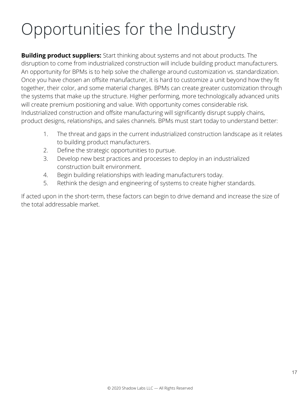### Opportunities for the Industry

**Building product suppliers:** Start thinking about systems and not about products. The disruption to come from industrialized construction will include building product manufacturers. An opportunity for BPMs is to help solve the challenge around customization vs. standardization. Once you have chosen an offsite manufacturer, it is hard to customize a unit beyond how they fit together, their color, and some material changes. BPMs can create greater customization through the systems that make up the structure. Higher performing, more technologically advanced units will create premium positioning and value. With opportunity comes considerable risk. Industrialized construction and offsite manufacturing will significantly disrupt supply chains, product designs, relationships, and sales channels. BPMs must start today to understand better:

- 1. The threat and gaps in the current industrialized construction landscape as it relates to building product manufacturers.
- 2. Define the strategic opportunities to pursue.
- 3. Develop new best practices and processes to deploy in an industrialized construction built environment.
- 4. Begin building relationships with leading manufacturers today.
- 5. Rethink the design and engineering of systems to create higher standards.

If acted upon in the short-term, these factors can begin to drive demand and increase the size of the total addressable market.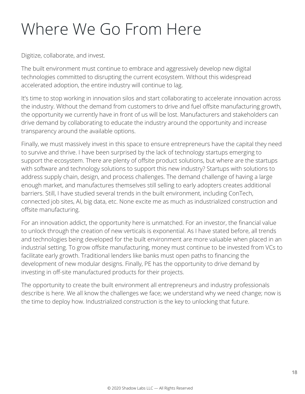### Where We Go From Here

Digitize, collaborate, and invest.

The built environment must continue to embrace and aggressively develop new digital technologies committed to disrupting the current ecosystem. Without this widespread accelerated adoption, the entire industry will continue to lag.

It's time to stop working in innovation silos and start collaborating to accelerate innovation across the industry. Without the demand from customers to drive and fuel offsite manufacturing growth, the opportunity we currently have in front of us will be lost. Manufacturers and stakeholders can drive demand by collaborating to educate the industry around the opportunity and increase transparency around the available options.

Finally, we must massively invest in this space to ensure entrepreneurs have the capital they need to survive and thrive. I have been surprised by the lack of technology startups emerging to support the ecosystem. There are plenty of offsite product solutions, but where are the startups with software and technology solutions to support this new industry? Startups with solutions to address supply chain, design, and process challenges. The demand challenge of having a large enough market, and manufactures themselves still selling to early adopters creates additional barriers. Still, I have studied several trends in the built environment, including ConTech, connected job sites, AI, big data, etc. None excite me as much as industrialized construction and offsite manufacturing.

For an innovation addict, the opportunity here is unmatched. For an investor, the financial value to unlock through the creation of new verticals is exponential. As I have stated before, all trends and technologies being developed for the built environment are more valuable when placed in an industrial setting. To grow offsite manufacturing, money must continue to be invested from VCs to facilitate early growth. Traditional lenders like banks must open paths to financing the development of new modular designs. Finally, PE has the opportunity to drive demand by investing in off-site manufactured products for their projects.

The opportunity to create the built environment all entrepreneurs and industry professionals describe is here. We all know the challenges we face; we understand why we need change; now is the time to deploy how. Industrialized construction is the key to unlocking that future.